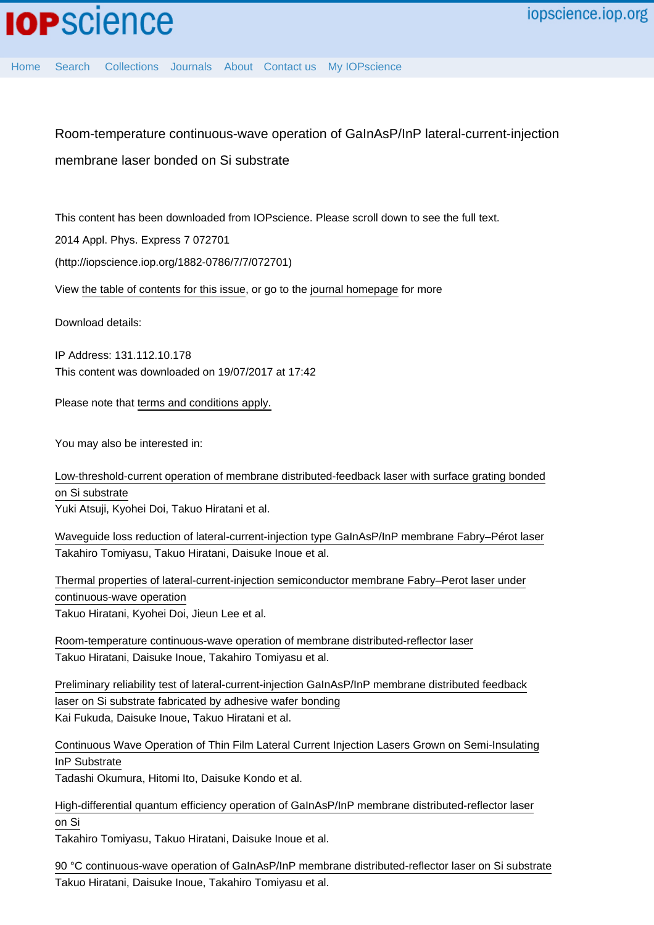[Home](http://iopscience.iop.org/) [Search](http://iopscience.iop.org/search) [Collections](http://iopscience.iop.org/collections) [Journals](http://iopscience.iop.org/journals) [About](http://iopscience.iop.org/page/aboutioppublishing) [Contact us](http://iopscience.iop.org/contact) [My IOPscience](http://iopscience.iop.org/myiopscience)

Room-temperature continuous-wave operation of GaInAsP/InP lateral-current-injection membrane laser bonded on Si substrate

This content has been downloaded from IOPscience. Please scroll down to see the full text.

2014 Appl. Phys. Express 7 072701

(http://iopscience.iop.org/1882-0786/7/7/072701)

View [the table of contents for this issue](http://iopscience.iop.org/1882-0786/7/7), or go to the [journal homepage](http://iopscience.iop.org/1882-0786) for more

Download details:

IP Address: 131.112.10.178 This content was downloaded on 19/07/2017 at 17:42

Please note that [terms and conditions apply.](http://iopscience.iop.org/page/terms)

You may also be interested in:

[Low-threshold-current operation of membrane distributed-feedback laser with surface grating bonded](http://iopscience.iop.org/article/10.7567/JJAP.54.080301) [on Si substrate](http://iopscience.iop.org/article/10.7567/JJAP.54.080301) Yuki Atsuji, Kyohei Doi, Takuo Hiratani et al.

[Waveguide loss reduction of lateral-current-injection type GaInAsP/InP membrane Fabry–Pérot laser](http://iopscience.iop.org/article/10.7567/JJAP.56.050311) Takahiro Tomiyasu, Takuo Hiratani, Daisuke Inoue et al.

[Thermal properties of lateral-current-injection semiconductor membrane Fabry–Perot laser under](http://iopscience.iop.org/article/10.7567/JJAP.54.042701) [continuous-wave operation](http://iopscience.iop.org/article/10.7567/JJAP.54.042701) Takuo Hiratani, Kyohei Doi, Jieun Lee et al.

[Room-temperature continuous-wave operation of membrane distributed-reflector laser](http://iopscience.iop.org/article/10.7567/APEX.8.112701) Takuo Hiratani, Daisuke Inoue, Takahiro Tomiyasu et al.

[Preliminary reliability test of lateral-current-injection GaInAsP/InP membrane distributed feedback](http://iopscience.iop.org/article/10.7567/JJAP.56.028002) [laser on Si substrate fabricated by adhesive wafer bonding](http://iopscience.iop.org/article/10.7567/JJAP.56.028002) Kai Fukuda, Daisuke Inoue, Takuo Hiratani et al.

[Continuous Wave Operation of Thin Film Lateral Current Injection Lasers Grown on Semi-Insulating](http://iopscience.iop.org/article/10.1143/JJAP.49.040205) [InP Substrate](http://iopscience.iop.org/article/10.1143/JJAP.49.040205)

Tadashi Okumura, Hitomi Ito, Daisuke Kondo et al.

[High-differential quantum efficiency operation of GaInAsP/InP membrane distributed-reflector laser](http://iopscience.iop.org/article/10.7567/APEX.10.062702) [on Si](http://iopscience.iop.org/article/10.7567/APEX.10.062702)

Takahiro Tomiyasu, Takuo Hiratani, Daisuke Inoue et al.

[90 °C continuous-wave operation of GaInAsP/InP membrane distributed-reflector laser on Si substrate](http://iopscience.iop.org/article/10.7567/APEX.10.032702) Takuo Hiratani, Daisuke Inoue, Takahiro Tomiyasu et al.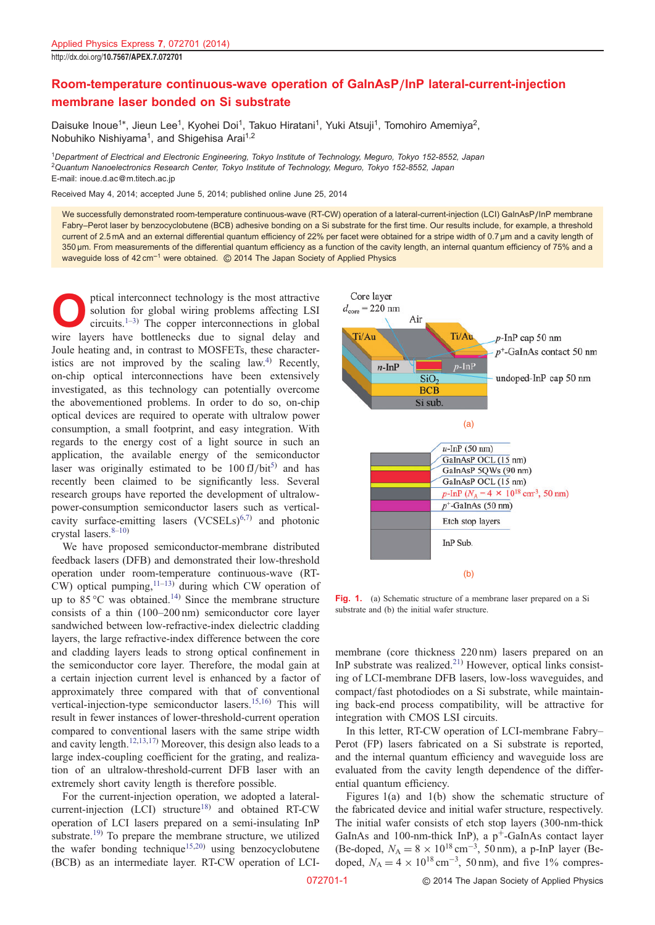## Room-temperature continuous-wave operation of GaInAsP/InP lateral-current-injection membrane laser bonded on Si substrate

Daisuke Inoue<sup>1\*</sup>, Jieun Lee<sup>1</sup>, Kyohei Doi<sup>1</sup>, Takuo Hiratani<sup>1</sup>, Yuki Atsuji<sup>1</sup>, Tomohiro Amemiya<sup>2</sup>, Nobuhiko Nishiyama<sup>1</sup>, and Shigehisa Arai<sup>1,2</sup>

<sup>1</sup>Department of Electrical and Electronic Engineering, Tokyo Institute of Technology, Meguro, Tokyo 152-8552, Japan <sup>2</sup>Quantum Nanoelectronics Research Center, Tokyo Institute of Technology, Meguro, Tokyo 152-8552, Japan E-mail: inoue.d.ac@m.titech.ac.jp

Received May 4, 2014; accepted June 5, 2014; published online June 25, 2014

We successfully demonstrated room-temperature continuous-wave (RT-CW) operation of a lateral-current-injection (LCI) GaInAsP/InP membrane Fabry–Perot laser by benzocyclobutene (BCB) adhesive bonding on a Si substrate for the first time. Our results include, for example, a threshold current of 2.5 mA and an external differential quantum efficiency of 22% per facet were obtained for a stripe width of 0.7 µm and a cavity length of 350 µm. From measurements of the differential quantum efficiency as a function of the cavity length, an internal quantum efficiency of 75% and a waveguide loss of  $42 \text{ cm}^{-1}$  were obtained.  $\circledcirc$  2014 The Japan Society of Applied Physics

ptical interconnect technology is the most attractive<br>solution for global wiring problems affecting LSI<br>circuits.<sup>1–3)</sup> The copper interconnections in global<br>wire layers have bottlenecks due to signal delay and solution for global wiring problems affecting LSI circuits.<sup>[1](#page-3-0)–[3\)](#page-4-0)</sup> The copper interconnections in global wire layers have bottlenecks due to signal delay and Joule heating and, in contrast to MOSFETs, these character-istics are not improved by the scaling law.<sup>[4\)](#page-4-0)</sup> Recently, on-chip optical interconnections have been extensively investigated, as this technology can potentially overcome the abovementioned problems. In order to do so, on-chip optical devices are required to operate with ultralow power consumption, a small footprint, and easy integration. With regards to the energy cost of a light source in such an application, the available energy of the semiconductor laser was originally estimated to be  $100 fJ/bit^{5}$  and has recently been claimed to be significantly less. Several research groups have reported the development of ultralowpower-consumption semiconductor lasers such as verticalcavity surface-emitting lasers  $(VCSELs)^{6,7}$  and photonic crystal lasers. $8-10$  $8-10$  $8-10$ )

We have proposed semiconductor-membrane distributed feedback lasers (DFB) and demonstrated their low-threshold operation under room-temperature continuous-wave (RT- $CW$ ) optical pumping,  $(11-13)$  $(11-13)$  $(11-13)$  $(11-13)$  $(11-13)$  during which CW operation of up to  $85^{\circ}$ C was obtained.<sup>[14\)](#page-4-0)</sup> Since the membrane structure consists of a thin (100–200 nm) semiconductor core layer sandwiched between low-refractive-index dielectric cladding layers, the large refractive-index difference between the core and cladding layers leads to strong optical confinement in the semiconductor core layer. Therefore, the modal gain at a certain injection current level is enhanced by a factor of approximately three compared with that of conventional vertical-injection-type semiconductor lasers.<sup>[15,16](#page-4-0)</sup> This will result in fewer instances of lower-threshold-current operation compared to conventional lasers with the same stripe width and cavity length.<sup>[12,13](#page-4-0),17</sup> Moreover, this design also leads to a large index-coupling coefficient for the grating, and realization of an ultralow-threshold-current DFB laser with an extremely short cavity length is therefore possible.

For the current-injection operation, we adopted a lateralcurrent-injection  $(LCI)$  structure<sup>[18](#page-4-0))</sup> and obtained RT-CW operation of LCI lasers prepared on a semi-insulating InP substrate.<sup>[19](#page-4-0))</sup> To prepare the membrane structure, we utilized the wafer bonding technique<sup>[15,20](#page-4-0)</sup> using benzocyclobutene (BCB) as an intermediate layer. RT-CW operation of LCI-



Fig. 1. (a) Schematic structure of a membrane laser prepared on a Si substrate and (b) the initial wafer structure.

membrane (core thickness 220 nm) lasers prepared on an InP substrate was realized. $21)$  However, optical links consisting of LCI-membrane DFB lasers, low-loss waveguides, and compact/fast photodiodes on a Si substrate, while maintaining back-end process compatibility, will be attractive for integration with CMOS LSI circuits.

In this letter, RT-CW operation of LCI-membrane Fabry– Perot (FP) lasers fabricated on a Si substrate is reported, and the internal quantum efficiency and waveguide loss are evaluated from the cavity length dependence of the differential quantum efficiency.

Figures 1(a) and 1(b) show the schematic structure of the fabricated device and initial wafer structure, respectively. The initial wafer consists of etch stop layers (300-nm-thick GaInAs and 100-nm-thick InP), a  $p^+$ -GaInAs contact layer (Be-doped,  $N_A = 8 \times 10^{18} \text{ cm}^{-3}$ , 50 nm), a p-InP layer (Be-<br>doped,  $N_A = 4 \times 10^{18} \text{ cm}^{-3}$ , 50 nm), and five 1% compresdoped,  $N_A = 4 \times 10^{18} \text{ cm}^{-3}$ , 50 nm), and five 1% compres-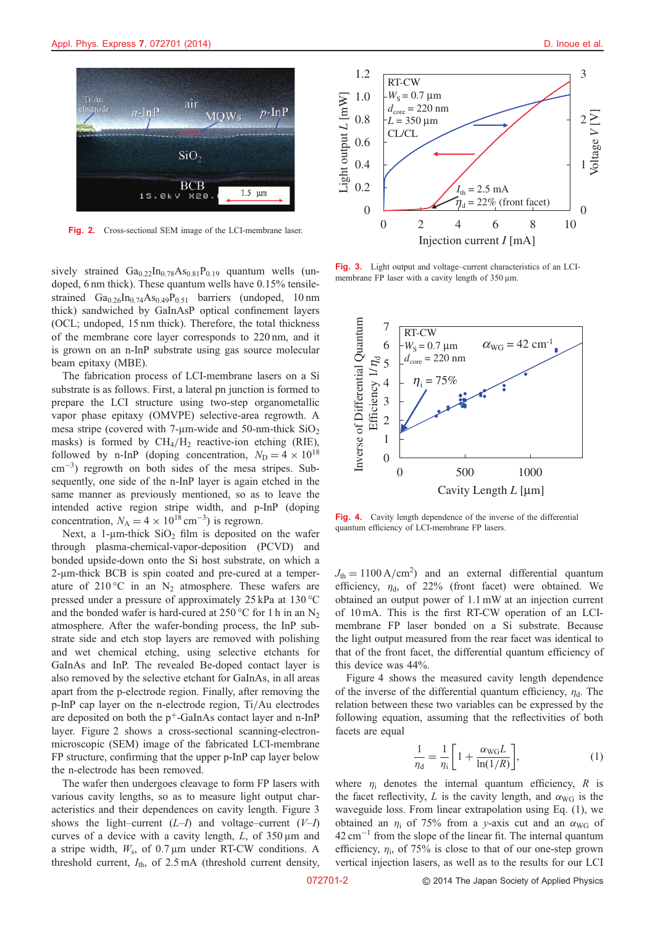

Fig. 2. Cross-sectional SEM image of the LCI-membrane laser.

sively strained  $Ga_{0.22}In_{0.78}As_{0.81}P_{0.19}$  quantum wells (undoped, 6 nm thick). These quantum wells have 0.15% tensilestrained  $Ga_{0.26}In_{0.74}As_{0.49}P_{0.51}$  barriers (undoped, 10 nm thick) sandwiched by GaInAsP optical confinement layers (OCL; undoped, 15 nm thick). Therefore, the total thickness of the membrane core layer corresponds to 220 nm, and it is grown on an n-InP substrate using gas source molecular beam epitaxy (MBE).

The fabrication process of LCI-membrane lasers on a Si substrate is as follows. First, a lateral pn junction is formed to prepare the LCI structure using two-step organometallic vapor phase epitaxy (OMVPE) selective-area regrowth. A mesa stripe (covered with  $7\text{-}\mu\text{m}$ -wide and  $50\text{-}\text{nm}\text{-}$ thick  $SiO<sub>2</sub>$ masks) is formed by  $CH_4/H_2$  reactive-ion etching (RIE), followed by n-InP (doping concentration,  $N_D = 4 \times 10^{18}$  $\text{cm}^{-3}$ ) regrowth on both sides of the mesa stripes. Subsequently, one side of the n-InP layer is again etched in the same manner as previously mentioned, so as to leave the intended active region stripe width, and p-InP (doping concentration,  $N_A = 4 \times 10^{18} \text{ cm}^{-3}$ ) is regrown.<br>Next, a l-um-thick SiO<sub>2</sub> film is deposited a

Next, a 1-µm-thick  $SiO<sub>2</sub>$  film is deposited on the wafer through plasma-chemical-vapor-deposition (PCVD) and bonded upside-down onto the Si host substrate, on which a 2-µm-thick BCB is spin coated and pre-cured at a temperature of  $210^{\circ}$ C in an N<sub>2</sub> atmosphere. These wafers are pressed under a pressure of approximately 25 kPa at 130 °C and the bonded wafer is hard-cured at  $250^{\circ}$ C for 1 h in an N<sub>2</sub> atmosphere. After the wafer-bonding process, the InP substrate side and etch stop layers are removed with polishing and wet chemical etching, using selective etchants for GaInAs and InP. The revealed Be-doped contact layer is also removed by the selective etchant for GaInAs, in all areas apart from the p-electrode region. Finally, after removing the p-InP cap layer on the n-electrode region, Ti/Au electrodes are deposited on both the  $p^+$ -GaInAs contact layer and n-InP layer. Figure 2 shows a cross-sectional scanning-electronmicroscopic (SEM) image of the fabricated LCI-membrane FP structure, confirming that the upper p-InP cap layer below the n-electrode has been removed.

The wafer then undergoes cleavage to form FP lasers with various cavity lengths, so as to measure light output characteristics and their dependences on cavity length. Figure 3 shows the light–current  $(L-I)$  and voltage–current  $(V-I)$ curves of a device with a cavity length,  $L$ , of  $350 \text{ µm}$  and a stripe width,  $W_s$ , of 0.7  $\mu$ m under RT-CW conditions. A threshold current,  $I_{\text{th}}$ , of 2.5 mA (threshold current density, ver<br>072701-2



Fig. 3. Light output and voltage–current characteristics of an LCImembrane FP laser with a cavity length of  $350 \,\mu m$ .



Fig. 4. Cavity length dependence of the inverse of the differential quantum efficiency of LCI-membrane FP lasers.

 $J_{th} = 1100 \text{ A/cm}^2$  and an external differential quantum<br>efficiency  $n_i$  of 22% (front facet) were obtained We efficiency,  $\eta_d$ , of 22% (front facet) were obtained. We obtained an output power of 1.1 mW at an injection current of 10 mA. This is the first RT-CW operation of an LCImembrane FP laser bonded on a Si substrate. Because the light output measured from the rear facet was identical to that of the front facet, the differential quantum efficiency of this device was 44%.

Figure 4 shows the measured cavity length dependence of the inverse of the differential quantum efficiency,  $\eta_d$ . The relation between these two variables can be expressed by the following equation, assuming that the reflectivities of both facets are equal

$$
\frac{1}{\eta_d} = \frac{1}{\eta_i} \left[ 1 + \frac{\alpha_{\text{WG}} L}{\ln(1/R)} \right],\tag{1}
$$

where  $\eta_i$  denotes the internal quantum efficiency, R is the facet reflectivity, L is the cavity length, and  $\alpha_{\text{WG}}$  is the waveguide loss. From linear extrapolation using Eq. (1), we obtained an  $\eta_i$  of 75% from a y-axis cut and an  $\alpha_{\text{WG}}$  of  $42 \text{ cm}^{-1}$  from the slope of the linear fit. The internal quantum efficiency,  $\eta_i$ , of 75% is close to that of our one-step grown vertical injection lasers, as well as to the results for our LCI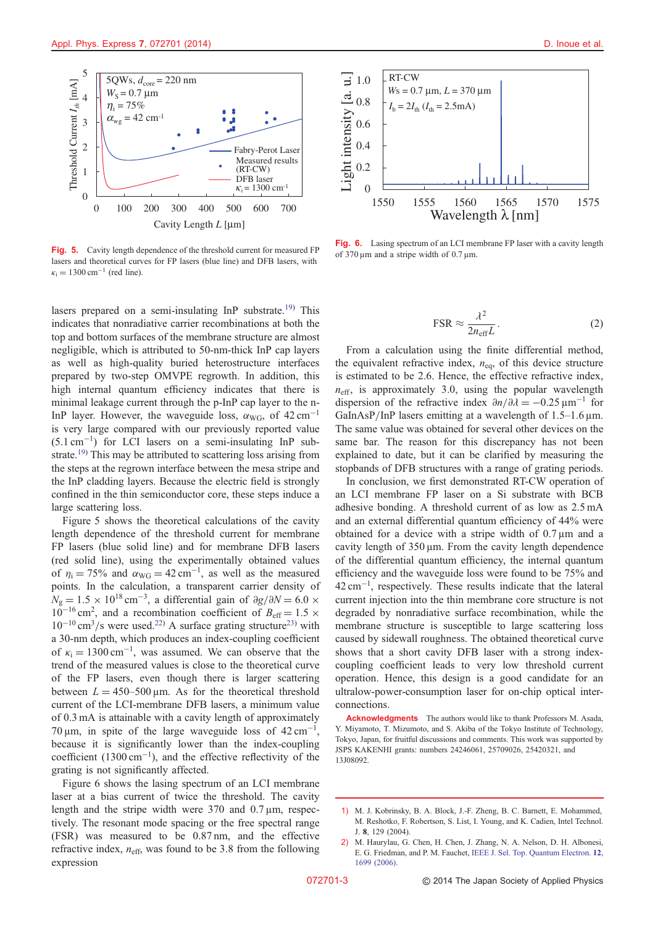<span id="page-3-0"></span>

Fig. 5. Cavity length dependence of the threshold current for measured FP lasers and theoretical curves for FP lasers (blue line) and DFB lasers, with  $\kappa_i = 1300 \text{ cm}^{-1}$  (red line).

lasers prepared on a semi-insulating InP substrate.<sup>[19\)](#page-4-0)</sup> This indicates that nonradiative carrier recombinations at both the top and bottom surfaces of the membrane structure are almost negligible, which is attributed to 50-nm-thick InP cap layers as well as high-quality buried heterostructure interfaces prepared by two-step OMVPE regrowth. In addition, this high internal quantum efficiency indicates that there is minimal leakage current through the p-InP cap layer to the n-InP layer. However, the waveguide loss,  $\alpha_{\text{WG}}$ , of 42 cm<sup>-1</sup> is very large compared with our previously reported value  $(5.1 \text{ cm}^{-1})$  for LCI lasers on a semi-insulating InP sub-strate.<sup>[19](#page-4-0))</sup> This may be attributed to scattering loss arising from the steps at the regrown interface between the mesa stripe and the InP cladding layers. Because the electric field is strongly confined in the thin semiconductor core, these steps induce a large scattering loss.

Figure 5 shows the theoretical calculations of the cavity length dependence of the threshold current for membrane FP lasers (blue solid line) and for membrane DFB lasers (red solid line), using the experimentally obtained values of  $\eta_i = 75\%$  and  $\alpha_{\text{WG}} = 42 \text{ cm}^{-1}$ , as well as the measured points. In the calculation, a transparent carrier density of  $N_g = 1.5 \times 10^{18} \text{ cm}^{-3}$ , a differential gain of  $\partial g/\partial N = 6.0 \times 10^{-16} \text{ cm}^2$  and a recombination coefficient of  $R_c = 1.5 \times 10^{18} \text{ cm}^{-3}$  $10^{-16}$  cm<sup>2</sup>, and a recombination coefficient of  $B_{\text{eff}} = 1.5 \times 10^{-10}$  cm<sup>3</sup>/s were used <sup>22)</sup> A surface grating structure<sup>23</sup>) with  $10^{-10}$  cm<sup>3</sup>/s were used.<sup>[22\)](#page-4-0)</sup> A surface grating structure<sup>[23\)](#page-4-0)</sup> with a 30-nm depth, which produces an index-coupling coefficient of  $\kappa_i = 1300 \text{ cm}^{-1}$ , was assumed. We can observe that the trend of the measured values is close to the theoretical curve of the FP lasers, even though there is larger scattering between  $L = 450-500 \,\mu \text{m}$ . As for the theoretical threshold current of the LCI-membrane DFB lasers, a minimum value of 0.3 mA is attainable with a cavity length of approximately 70  $\mu$ m, in spite of the large waveguide loss of 42 cm<sup>-1</sup>, because it is significantly lower than the index-coupling coefficient  $(1300 \text{ cm}^{-1})$ , and the effective reflectivity of the grating is not significantly affected.

Figure 6 shows the lasing spectrum of an LCI membrane laser at a bias current of twice the threshold. The cavity length and the stripe width were  $370$  and  $0.7 \,\mu m$ , respectively. The resonant mode spacing or the free spectral range (FSR) was measured to be 0.87 nm, and the effective refractive index,  $n_{\text{eff}}$ , was found to be 3.8 from the following expression



Fig. 6. Lasing spectrum of an LCI membrane FP laser with a cavity length of  $370 \,\mu m$  and a stripe width of  $0.7 \,\mu m$ .

$$
\text{FSR} \approx \frac{\lambda^2}{2n_{\text{eff}}L} \,. \tag{2}
$$

From a calculation using the finite differential method, the equivalent refractive index,  $n_{eq}$ , of this device structure is estimated to be 2.6. Hence, the effective refractive index,  $n_{\text{eff}}$ , is approximately 3.0, using the popular wavelength dispersion of the refractive index  $\partial n/\partial \lambda = -0.25 \,\text{\mu m}^{-1}$  for GaInAsP/InP lasers emitting at a wavelength of  $1.5-1.6 \,\text{\ensuremath{\mu}m}$ . The same value was obtained for several other devices on the same bar. The reason for this discrepancy has not been explained to date, but it can be clarified by measuring the stopbands of DFB structures with a range of grating periods.

In conclusion, we first demonstrated RT-CW operation of an LCI membrane FP laser on a Si substrate with BCB adhesive bonding. A threshold current of as low as 2.5 mA and an external differential quantum efficiency of 44% were obtained for a device with a stripe width of  $0.7 \,\mu m$  and a cavity length of  $350 \mu m$ . From the cavity length dependence of the differential quantum efficiency, the internal quantum efficiency and the waveguide loss were found to be 75% and  $42 \text{ cm}^{-1}$ , respectively. These results indicate that the lateral current injection into the thin membrane core structure is not degraded by nonradiative surface recombination, while the membrane structure is susceptible to large scattering loss caused by sidewall roughness. The obtained theoretical curve shows that a short cavity DFB laser with a strong indexcoupling coefficient leads to very low threshold current operation. Hence, this design is a good candidate for an ultralow-power-consumption laser for on-chip optical interconnections.

Acknowledgments The authors would like to thank Professors M. Asada, Y. Miyamoto, T. Mizumoto, and S. Akiba of the Tokyo Institute of Technology, Tokyo, Japan, for fruitful discussions and comments. This work was supported by JSPS KAKENHI grants: numbers 24246061, 25709026, 25420321, and 13J08092.

<sup>1)</sup> M. J. Kobrinsky, B. A. Block, J.-F. Zheng, B. C. Barnett, E. Mohammed, M. Reshotko, F. Robertson, S. List, I. Young, and K. Cadien, Intel Technol. J. 8, 129 (2004).

<sup>2)</sup> M. Haurylau, G. Chen, H. Chen, J. Zhang, N. A. Nelson, D. H. Albonesi, E. G. Friedman, and P. M. Fauchet, [IEEE J. Sel. Top. Quantum Electron.](http://dx.doi.org/10.1109/JSTQE.2006.880615) 12, [1699 \(2006\).](http://dx.doi.org/10.1109/JSTQE.2006.880615)